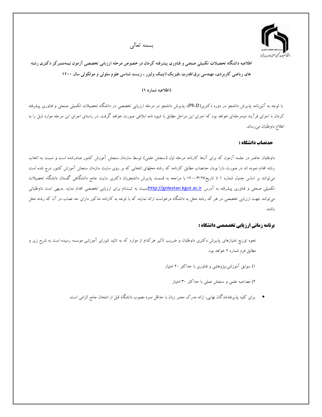

بسمه تعالى

اطلاعیه دانشگاه تحصیلات تکمیلی صنعتی و فناوری پیشرفته کرمان در خصوص مرحله ارزیابی تخصصی آزمون نیمهمتمرکز دکتری رشته های ریاضی کاربردی، مهندسی برق/قدرت ،فیزیک/اپتیک ولیزر ، زیست شناسی علوم سلولی و مولکولی سال ۱۴۰۰

#### (اطلاعیه شماره ۱)

با توجه به آئیننامه پذیرش دانشجو در دوره دکتری(Ph.D)، پذیرش دانشجو در مرحله ارزیابی تخصصی در دانشگاه تحصیلات تکمیلی صنعتی و فناوری پیشرفته کرمان با اجرای فرآیند دومرحلهای خواهد بود که اجرای این مراحل مطابق با شیوه نامه ابلاغی صورت خواهد گرفت. در راستای اجرای این مرحله موارد ذیل را به اطلاع داوطلبان مىرساند.

## حدنصاب دانشگاه :

داوطلبان حاضر در جلسه آزمون که برای آنها کارنامه مرحله اول (سنجش علمی) توسط سازمان سنجش آموزش کشور صادرشده است و نسبت به اتخاب رشته اقدام نموده اند در صورت دارا بودن حدنصاب مطابق کارنامه کد رشته محلهای انتخابی که بر روی سایت سازمان سنجش آموزش کشور درج شده است میتوانند بر اساس جدول شماره ۱ تا تاریخ۱۴۰۰/۳/۲۶ با مراجعه به قسمت پذیرش دانشجویان دکتری سایت جامع دانشگاهی گلستان دانشگاه تحصیلات تکمیلی صنعتی و فناوری پیشرفته به آدرس http://golestan.kgut.ac.irانسبت به ثبتنام برای ارزیابی تخصصی اقدام نماید. بدیهی است داوطلبانی میتوانند جهت ارزیابی تخصصی در هر کد رشته محل به دانشگاه درخواست ارائه نمایند که با توجه به کارنامه مذکور دارای حد نصاب در آن کد رشته محل باشند.

# **برنامه زمانی ارزیابی تخصصصی دانشگاه :**

نحوه توزیع امتیازهای پذیرش دکتری داوطلبان و ضریب تأثیر هرکدام از موارد که به تائید شورای آموزشی موسسه رسیده است به شرح زیر و مطابق فرم شماره ۲ خواهد بود.

۱) سوابق آموزشی،پژوهشی و فناوری با حداکثر ۲۰ امتیاز

۲) مصاحبه علمی و سنجش عملی با حداکثر ۳۰ امتیاز

● برای کلیه پذیرفتهشدگان نهایی، ارائه مدرک معتبر زبان با حداقل نمره مصوب دانشگاه قبل از امتحان جامع الزامی است.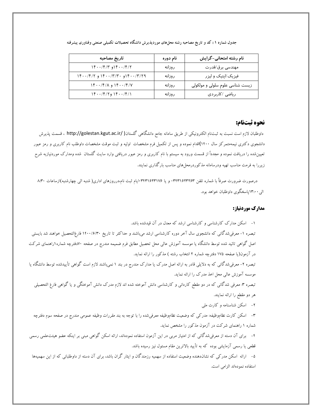| تاريخ مصاحبه                                     | نام دوره | نام رشته امتحانی-گرایش          |
|--------------------------------------------------|----------|---------------------------------|
| $1f \cdot \frac{1}{f}$ ۱۴۰۰/۴/۳ و ۱۴۰۰/۴/۳       | ر وزانه  | مهندسی برق/قدرت                 |
| ۱۴۰۰/۳/۲۹ و ۱۴۰۰/۳/۳۰ و ۱۴۰۰/۴/۲                 | ر وزانه  | فیزیک/اپتیک و لیزر              |
| $\Gamma$ ۱۴۰۰/۴/۸ و ۱۴۰۰/۴/۷                     | ر وزانه  | زیست شناسی علوم سلولی و مولکولی |
| $\lceil f \cdot \cdot / f / f \rceil$ و ۱۴۰۰/۴/۱ | ر وزانه  | ریاضی /کاربردی                  |

جدول شماره ۱ : کد و تاریخ مصاحبه رشته محلهای موردپذیرش دانشگاه تحصیلات تکمیلی صنعتی وفناوری پیشرفته

### نحوه ثبتنام:

داوطلبان لازم است نسبت به ثبتنام الكترونيكي از طريق سامانه جامع دانشگاهي گلستان( /http://golestan.kgut.ac.ir ، قسمت پذيرش دانشجوی دکتری نیمهمتمرکز سال ۱۴۰۰)اقدام نموده و پس از تکمیل فرم مشخصات اولیه و ثبت موقت مشخصات داوطلب نام کاربری و رمز عبور تعیین شده را دریافت نموده و مجدداً از قسمت ورود به سیستم با نام کاربری و رمز عبور دریافتی وارد سایت گلستان شده ومدارک موردنیازبه شرح زیررا به فرمت مناسب تهیه ودرسامانه مذکوردرمحلهای مناسب بارگذاری نمایند.

درصورت ضرورت صرفاً با شماره تلفن ۱۳۴۳۱۶۲۳۲۶۳ و یا ۱۳۴۳۱۶۲۳۱۶۳ ایام ثبت نام،درروزهای اداری( شنبه الی چهارشنبه)ازساعات ۸:۳۰ الي ۱۳:۰۰ پاسخگوي داوطلبان خواهد بود.

#### مدارک موردنیاز:

۱- اسکن مدارک کارشناسی و کارشناسی ارشد که معدل در آن قیدشده باشد.

تبصره ۱- معرفیشدگانی که دانشجوی سال آخر دوره کارشناسی ارشد میباشند و حداکثر تا تاریخ ۱۴۰۰/۶/۳۰ فارغ|لتحصیل خواهند شد بایستی اصل گواهی تائید شده توسط دانشگاه یا موسسه آموزش عالی محل تحصیل مطابق فرم ضمیمه مندرج در صفحه ۷۰دفترچه شماره ۱راهنمای شرکت در آزمون(یا صفحه ۱۷۵ دفترچه شماره ۲ انتخاب رشته ) مذکور را ارائه نماید.

تبصره ۲- معرفی شدگانی که به دلایلی قادر به ارائه اصل مدرک یا مدارک مندرج در بند ۱ نمیباشند لازم است گواهی تأییدشده توسط دانشگاه یا موسسه آموزش عالی محل اخذ مدرک را ارائه نماید.

تبصره ۳: معرفی شدگانی که در دو مقطع کاردانی و کارشناسی دانش آموخته شده اند لازم مدرک دانش آموختگی و یا گواهی فارغ التحصیلی هر دو مقطع را ارائه نمایند.

۲- اسکن شناسنامه و کارت ملی

۳– اسکن کارت نظاموظیفه: مدرکی که وضعیت نظاموظیفه معرفی¢ده را با توجه به بند مقررات وظیفه عمومی مندرج در صفحه سوم دفترچه شماره ۱ راهنمای شرکت در آزمون مذکور را مشخص نماید.

۴– برای آن دسته از معرفی شدگانی که از امتیاز مربی در این آزمون استفاده نمودهاند، ارائه اسکن گواهی مبنی بر اینکه عضو هیئتعلمی رسمی قطعی یا رسمی آزمایشی بوده که به تأیید بالاترین مقام مسئول نیز رسیده باشد.

۵– ارائه اسکن مدرکی که نشاندهنده وضعیت استفاده از سهمیه رزمندگان و ایثار گران باشد، برای آن دسته از داوطلبانی که از این سهمیهها استفاده نمودهاند الزامي است.